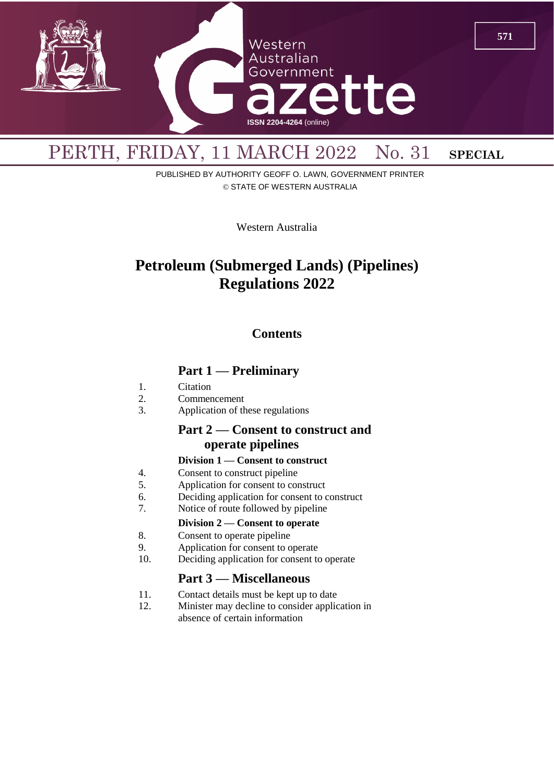

# PUBLISHED BY AUTHORITY GEOFF O. LAWN, GOVERNMENT PRINTER © STATE OF WESTERN AUSTRALIA

Western Australia

# **Petroleum (Submerged Lands) (Pipelines) Regulations 2022**

# **Contents**

# **Part 1 — Preliminary**

- 1. Citation
- 2. Commencement
- 3. Application of these regulations

# **Part 2 — Consent to construct and operate pipelines**

### **Division 1 — Consent to construct**

- 4. Consent to construct pipeline<br>5. Application for consent to consent
- 5. Application for consent to construct
- 6. Deciding application for consent to construct
- 7. Notice of route followed by pipeline

# **Division 2 — Consent to operate**

- 8. Consent to operate pipeline
- 9. Application for consent to operate
- 10. Deciding application for consent to operate

# **Part 3 — Miscellaneous**

- 11. Contact details must be kept up to date
- 12. Minister may decline to consider application in absence of certain information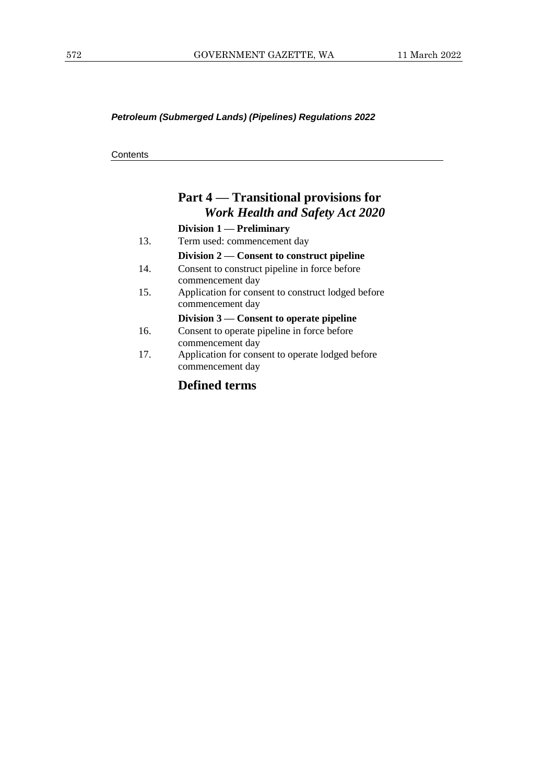#### *Petroleum (Submerged Lands) (Pipelines) Regulations 2022*

**Contents** 

# **Part 4 — Transitional provisions for**  *Work Health and Safety Act 2020*

#### **Division 1 — Preliminary**

13. Term used: commencement day

### **Division 2 — Consent to construct pipeline**

- 14. Consent to construct pipeline in force before commencement day
- 15. Application for consent to construct lodged before commencement day

#### **Division 3 — Consent to operate pipeline**

- 16. Consent to operate pipeline in force before commencement day
- 17. Application for consent to operate lodged before commencement day

# **Defined terms**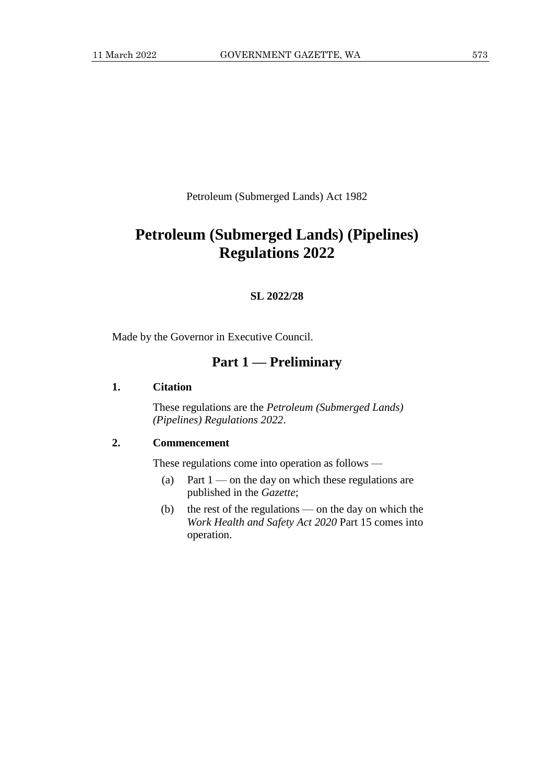Petroleum (Submerged Lands) Act 1982

# **Petroleum (Submerged Lands) (Pipelines) Regulations 2022**

#### **SL 2022/28**

Made by the Governor in Executive Council.

# **Part 1 — Preliminary**

#### **1. Citation**

These regulations are the *Petroleum (Submerged Lands) (Pipelines) Regulations 2022*.

### **2. Commencement**

These regulations come into operation as follows —

- (a) Part  $1$  on the day on which these regulations are published in the *Gazette*;
- (b) the rest of the regulations on the day on which the *Work Health and Safety Act 2020* Part 15 comes into operation.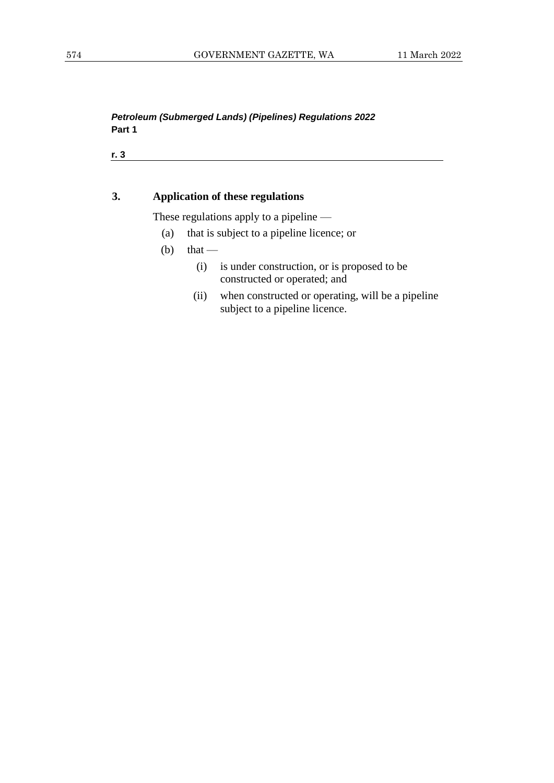### *Petroleum (Submerged Lands) (Pipelines) Regulations 2022* **Part 1**

**r. 3**

#### **3. Application of these regulations**

These regulations apply to a pipeline —

- (a) that is subject to a pipeline licence; or
- (b) that
	- (i) is under construction, or is proposed to be constructed or operated; and
	- (ii) when constructed or operating, will be a pipeline subject to a pipeline licence.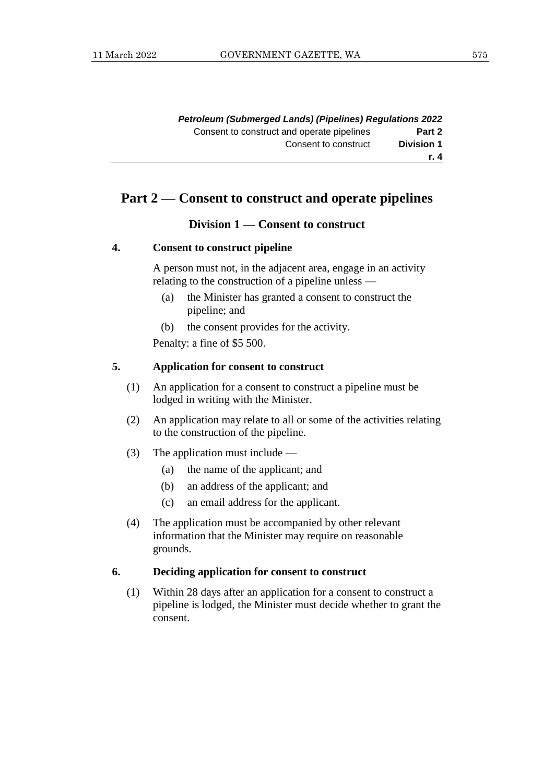|                   | <b>Petroleum (Submerged Lands) (Pipelines) Regulations 2022</b> |
|-------------------|-----------------------------------------------------------------|
| Part 2            | Consent to construct and operate pipelines                      |
| <b>Division 1</b> | Consent to construct                                            |
| r. 4              |                                                                 |

# **Part 2 — Consent to construct and operate pipelines**

#### **Division 1 — Consent to construct**

#### **4. Consent to construct pipeline**

A person must not, in the adjacent area, engage in an activity relating to the construction of a pipeline unless —

- (a) the Minister has granted a consent to construct the pipeline; and
- (b) the consent provides for the activity.

Penalty: a fine of \$5 500.

#### **5. Application for consent to construct**

- (1) An application for a consent to construct a pipeline must be lodged in writing with the Minister.
- (2) An application may relate to all or some of the activities relating to the construction of the pipeline.
- (3) The application must include
	- (a) the name of the applicant; and
	- (b) an address of the applicant; and
	- (c) an email address for the applicant.
- (4) The application must be accompanied by other relevant information that the Minister may require on reasonable grounds.

#### **6. Deciding application for consent to construct**

(1) Within 28 days after an application for a consent to construct a pipeline is lodged, the Minister must decide whether to grant the consent.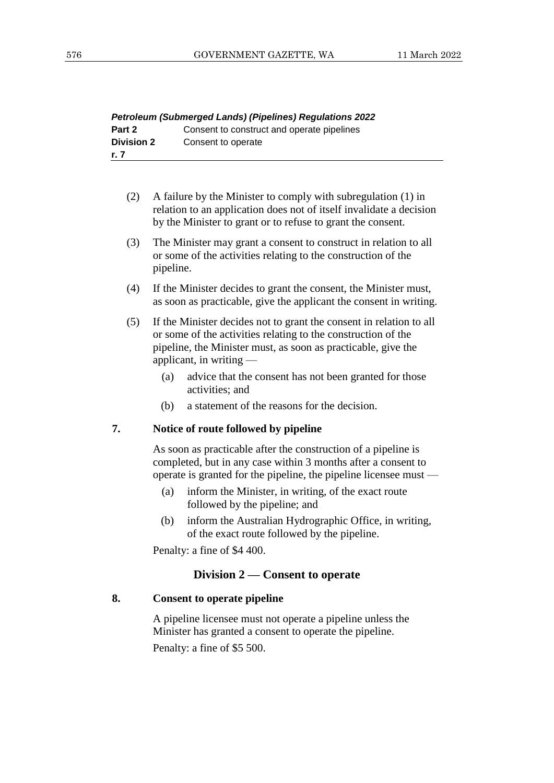| <b>Petroleum (Submerged Lands) (Pipelines) Regulations 2022</b> |                                            |  |
|-----------------------------------------------------------------|--------------------------------------------|--|
| Part 2                                                          | Consent to construct and operate pipelines |  |
| <b>Division 2</b>                                               | Consent to operate                         |  |
| r. 7                                                            |                                            |  |

| (2) | A failure by the Minister to comply with subregulation (1) in       |
|-----|---------------------------------------------------------------------|
|     | relation to an application does not of itself invalidate a decision |
|     | by the Minister to grant or to refuse to grant the consent.         |

- (3) The Minister may grant a consent to construct in relation to all or some of the activities relating to the construction of the pipeline.
- (4) If the Minister decides to grant the consent, the Minister must, as soon as practicable, give the applicant the consent in writing.
- (5) If the Minister decides not to grant the consent in relation to all or some of the activities relating to the construction of the pipeline, the Minister must, as soon as practicable, give the applicant, in writing —
	- (a) advice that the consent has not been granted for those activities; and
	- (b) a statement of the reasons for the decision.

#### **7. Notice of route followed by pipeline**

As soon as practicable after the construction of a pipeline is completed, but in any case within 3 months after a consent to operate is granted for the pipeline, the pipeline licensee must —

- (a) inform the Minister, in writing, of the exact route followed by the pipeline; and
- (b) inform the Australian Hydrographic Office, in writing, of the exact route followed by the pipeline.

Penalty: a fine of \$4 400.

### **Division 2 — Consent to operate**

### **8. Consent to operate pipeline**

A pipeline licensee must not operate a pipeline unless the Minister has granted a consent to operate the pipeline.

Penalty: a fine of \$5 500.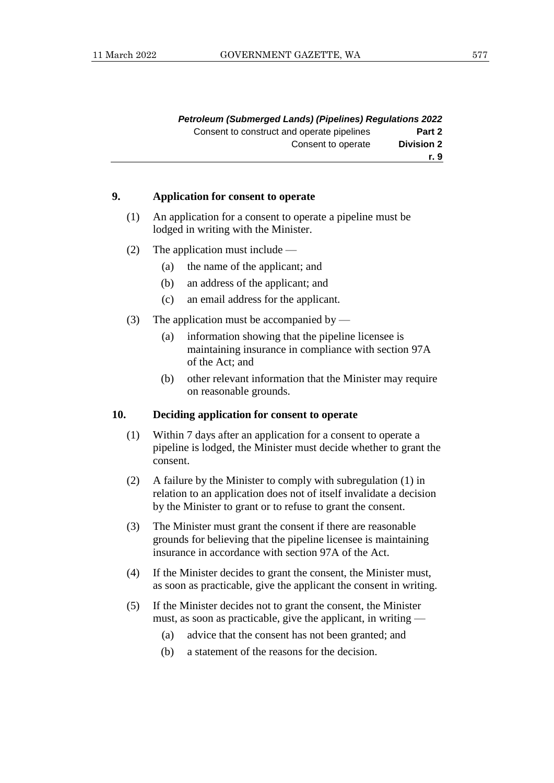|                   | <b>Petroleum (Submerged Lands) (Pipelines) Regulations 2022</b> |
|-------------------|-----------------------------------------------------------------|
| Part 2            | Consent to construct and operate pipelines                      |
| <b>Division 2</b> | Consent to operate                                              |
| r. 9              |                                                                 |

#### **9. Application for consent to operate**

- (1) An application for a consent to operate a pipeline must be lodged in writing with the Minister.
- (2) The application must include
	- (a) the name of the applicant; and
	- (b) an address of the applicant; and
	- (c) an email address for the applicant.
- (3) The application must be accompanied by
	- (a) information showing that the pipeline licensee is maintaining insurance in compliance with section 97A of the Act; and
	- (b) other relevant information that the Minister may require on reasonable grounds.

#### **10. Deciding application for consent to operate**

- (1) Within 7 days after an application for a consent to operate a pipeline is lodged, the Minister must decide whether to grant the consent.
- (2) A failure by the Minister to comply with subregulation (1) in relation to an application does not of itself invalidate a decision by the Minister to grant or to refuse to grant the consent.
- (3) The Minister must grant the consent if there are reasonable grounds for believing that the pipeline licensee is maintaining insurance in accordance with section 97A of the Act.
- (4) If the Minister decides to grant the consent, the Minister must, as soon as practicable, give the applicant the consent in writing.
- (5) If the Minister decides not to grant the consent, the Minister must, as soon as practicable, give the applicant, in writing —
	- (a) advice that the consent has not been granted; and
	- (b) a statement of the reasons for the decision.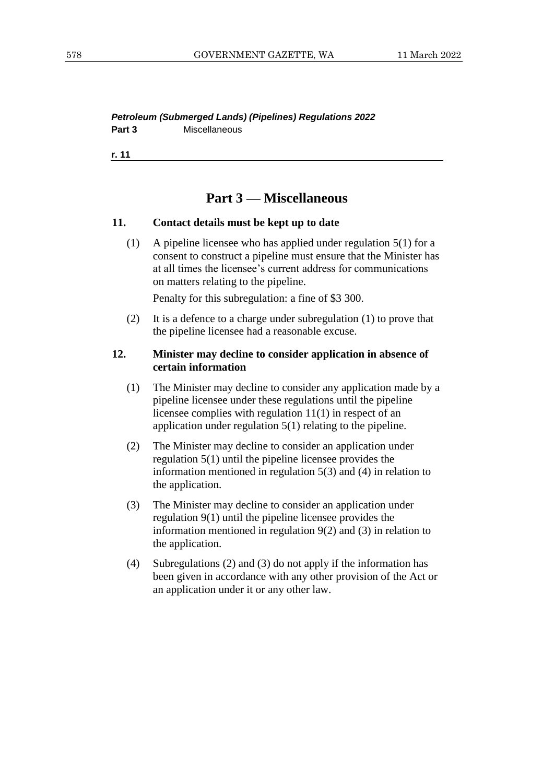#### *Petroleum (Submerged Lands) (Pipelines) Regulations 2022* **Part 3** Miscellaneous

**r. 11**

# **Part 3 — Miscellaneous**

#### **11. Contact details must be kept up to date**

(1) A pipeline licensee who has applied under regulation 5(1) for a consent to construct a pipeline must ensure that the Minister has at all times the licensee's current address for communications on matters relating to the pipeline.

Penalty for this subregulation: a fine of \$3 300.

(2) It is a defence to a charge under subregulation (1) to prove that the pipeline licensee had a reasonable excuse.

### **12. Minister may decline to consider application in absence of certain information**

- (1) The Minister may decline to consider any application made by a pipeline licensee under these regulations until the pipeline licensee complies with regulation 11(1) in respect of an application under regulation 5(1) relating to the pipeline.
- (2) The Minister may decline to consider an application under regulation 5(1) until the pipeline licensee provides the information mentioned in regulation 5(3) and (4) in relation to the application.
- (3) The Minister may decline to consider an application under regulation 9(1) until the pipeline licensee provides the information mentioned in regulation 9(2) and (3) in relation to the application.
- (4) Subregulations (2) and (3) do not apply if the information has been given in accordance with any other provision of the Act or an application under it or any other law.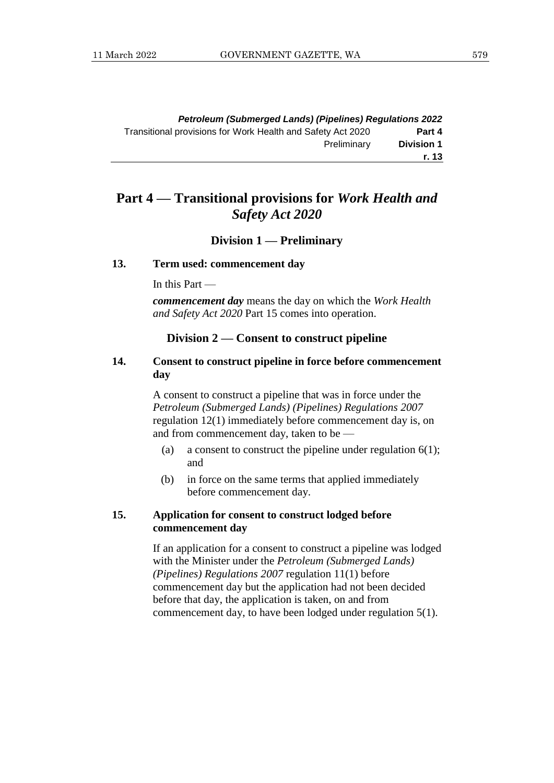|                   | <b>Petroleum (Submerged Lands) (Pipelines) Regulations 2022</b> |
|-------------------|-----------------------------------------------------------------|
| Part 4            | Transitional provisions for Work Health and Safety Act 2020     |
| <b>Division 1</b> | Preliminary                                                     |
| r. 13             |                                                                 |

# **Part 4 — Transitional provisions for** *Work Health and Safety Act 2020*

#### **Division 1 — Preliminary**

#### **13. Term used: commencement day**

In this Part —

*commencement day* means the day on which the *Work Health and Safety Act 2020* Part 15 comes into operation.

#### **Division 2 — Consent to construct pipeline**

# **14. Consent to construct pipeline in force before commencement day**

A consent to construct a pipeline that was in force under the *Petroleum (Submerged Lands) (Pipelines) Regulations 2007* regulation 12(1) immediately before commencement day is, on and from commencement day, taken to be —

- (a) a consent to construct the pipeline under regulation  $6(1)$ ; and
- (b) in force on the same terms that applied immediately before commencement day.

## **15. Application for consent to construct lodged before commencement day**

If an application for a consent to construct a pipeline was lodged with the Minister under the *Petroleum (Submerged Lands) (Pipelines) Regulations 2007* regulation 11(1) before commencement day but the application had not been decided before that day, the application is taken, on and from commencement day, to have been lodged under regulation 5(1).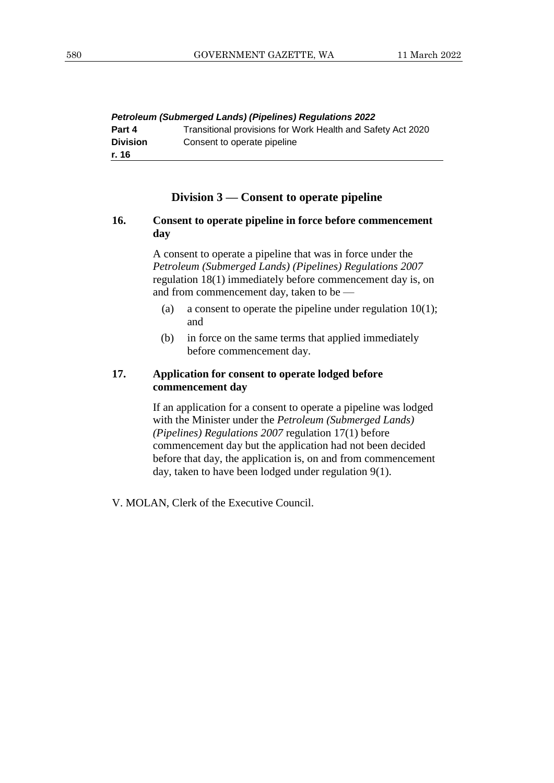| <b>Petroleum (Submerged Lands) (Pipelines) Regulations 2022</b> |                                                             |  |
|-----------------------------------------------------------------|-------------------------------------------------------------|--|
| Part 4                                                          | Transitional provisions for Work Health and Safety Act 2020 |  |
| <b>Division</b>                                                 | Consent to operate pipeline                                 |  |
| r. 16                                                           |                                                             |  |

# **Division 3 — Consent to operate pipeline**

### **16. Consent to operate pipeline in force before commencement day**

A consent to operate a pipeline that was in force under the *Petroleum (Submerged Lands) (Pipelines) Regulations 2007* regulation 18(1) immediately before commencement day is, on and from commencement day, taken to be —

- (a) a consent to operate the pipeline under regulation  $10(1)$ ; and
- (b) in force on the same terms that applied immediately before commencement day.

### **17. Application for consent to operate lodged before commencement day**

If an application for a consent to operate a pipeline was lodged with the Minister under the *Petroleum (Submerged Lands) (Pipelines) Regulations 2007* regulation 17(1) before commencement day but the application had not been decided before that day, the application is, on and from commencement day, taken to have been lodged under regulation 9(1).

V. MOLAN, Clerk of the Executive Council.